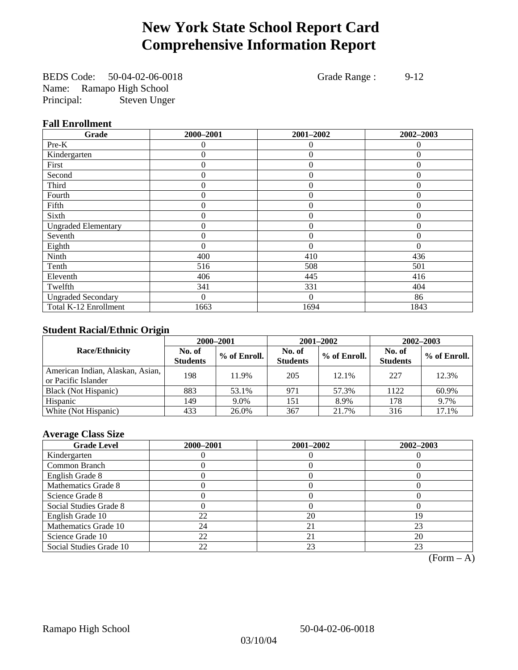# **New York State School Report Card Comprehensive Information Report**

BEDS Code: 50-04-02-06-0018 Grade Range : 9-12 Name: Ramapo High School Principal: Steven Unger

### **Fall Enrollment**

| Grade                      | 2000-2001      | 2001-2002      | 2002-2003    |
|----------------------------|----------------|----------------|--------------|
| Pre-K                      | $\Omega$       | $\theta$       | $\theta$     |
| Kindergarten               | 0              | $\overline{0}$ | $\Omega$     |
| First                      | $\theta$       | $\theta$       | $\Omega$     |
| Second                     | 0              | $\theta$       | $\Omega$     |
| Third                      | 0              | $\overline{0}$ | $\Omega$     |
| Fourth                     | 0              | $\overline{0}$ | $\theta$     |
| Fifth                      | $\theta$       | $\overline{0}$ | $\mathbf{0}$ |
| Sixth                      | 0              | $\Omega$       | $\Omega$     |
| <b>Ungraded Elementary</b> | 0              | $\theta$       | $\Omega$     |
| Seventh                    | 0              | $\overline{0}$ | $\theta$     |
| Eighth                     | $\overline{0}$ | $\theta$       | $\Omega$     |
| Ninth                      | 400            | 410            | 436          |
| Tenth                      | 516            | 508            | 501          |
| Eleventh                   | 406            | 445            | 416          |
| Twelfth                    | 341            | 331            | 404          |
| <b>Ungraded Secondary</b>  | $\theta$       | $\Omega$       | 86           |
| Total K-12 Enrollment      | 1663           | 1694           | 1843         |

### **Student Racial/Ethnic Origin**

|                                                         |                           | 2000-2001<br>2001-2002<br>$2002 - 2003$ |                           |              |                           |                |
|---------------------------------------------------------|---------------------------|-----------------------------------------|---------------------------|--------------|---------------------------|----------------|
| <b>Race/Ethnicity</b>                                   | No. of<br><b>Students</b> | % of Enroll.                            | No. of<br><b>Students</b> | % of Enroll. | No. of<br><b>Students</b> | $%$ of Enroll. |
| American Indian, Alaskan, Asian,<br>or Pacific Islander | 198                       | 11.9%                                   | 205                       | 12.1%        | 227                       | 12.3%          |
| Black (Not Hispanic)                                    | 883                       | 53.1%                                   | 971                       | 57.3%        | 1122                      | 60.9%          |
| Hispanic                                                | 149                       | 9.0%                                    | 151                       | 8.9%         | 178                       | 9.7%           |
| White (Not Hispanic)                                    | 433                       | 26.0%                                   | 367                       | 21.7%        | 316                       | 17.1%          |

### **Average Class Size**

| <b>Grade Level</b>      | 2000-2001 | 2001-2002 | 2002-2003 |
|-------------------------|-----------|-----------|-----------|
| Kindergarten            |           |           |           |
| Common Branch           |           |           |           |
| English Grade 8         |           |           |           |
| Mathematics Grade 8     |           |           |           |
| Science Grade 8         |           |           |           |
| Social Studies Grade 8  |           |           |           |
| English Grade 10        | 22        | 20        | 19        |
| Mathematics Grade 10    | 24        | 21        | 23        |
| Science Grade 10        | 22        | 21        | 20        |
| Social Studies Grade 10 | 22        | 23        | 23        |

 $(Form - A)$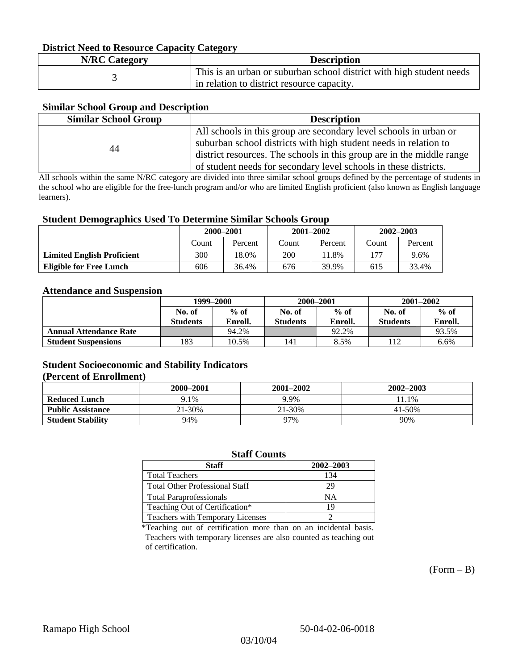### **District Need to Resource Capacity Category**

| <b>N/RC Category</b> | <b>Description</b>                                                   |
|----------------------|----------------------------------------------------------------------|
|                      | This is an urban or suburban school district with high student needs |
|                      | in relation to district resource capacity.                           |

### **Similar School Group and Description**

| <b>Similar School Group</b> | <b>Description</b>                                                    |
|-----------------------------|-----------------------------------------------------------------------|
|                             | All schools in this group are secondary level schools in urban or     |
| 44                          | suburban school districts with high student needs in relation to      |
|                             | district resources. The schools in this group are in the middle range |
|                             | of student needs for secondary level schools in these districts.      |

All schools within the same N/RC category are divided into three similar school groups defined by the percentage of students in the school who are eligible for the free-lunch program and/or who are limited English proficient (also known as English language learners).

#### **Student Demographics Used To Determine Similar Schools Group**

|                                   | 2000-2001 |         | $2001 - 2002$ |         | $2002 - 2003$ |         |
|-----------------------------------|-----------|---------|---------------|---------|---------------|---------|
|                                   | Count     | Percent | Count         | Percent | Count         | Percent |
| <b>Limited English Proficient</b> | 300       | 18.0%   | 200           | 1.8%    | 177           | 9.6%    |
| Eligible for Free Lunch           | 606       | 36.4%   | 676           | 39.9%   | 615           | 33.4%   |

#### **Attendance and Suspension**

|                               | 1999–2000       |         | 2000-2001 |         | $2001 - 2002$   |         |
|-------------------------------|-----------------|---------|-----------|---------|-----------------|---------|
|                               | No. of          | $%$ of  | No. of    | $%$ of  | No. of          | $%$ of  |
|                               | <b>Students</b> | Enroll. | Students  | Enroll. | <b>Students</b> | Enroll. |
| <b>Annual Attendance Rate</b> |                 | 94.2%   |           | 92.2%   |                 | 93.5%   |
| <b>Student Suspensions</b>    | 183             | 10.5%   | 141       | 8.5%    |                 | 6.6%    |

### **Student Socioeconomic and Stability Indicators (Percent of Enrollment)**

|                          | 2000–2001 | 2001-2002 | $2002 - 2003$ |
|--------------------------|-----------|-----------|---------------|
| <b>Reduced Lunch</b>     | 9.1%      | 9.9%      | 11.1%         |
| <b>Public Assistance</b> | 21-30%    | 21-30%    | $41 - 50%$    |
| <b>Student Stability</b> | 94%       | 97%       | 90%           |

#### **Staff Counts**

| Staff                                   | 2002-2003 |
|-----------------------------------------|-----------|
| <b>Total Teachers</b>                   | 134       |
| <b>Total Other Professional Staff</b>   | 29        |
| <b>Total Paraprofessionals</b>          | NΑ        |
| Teaching Out of Certification*          | 19        |
| <b>Teachers with Temporary Licenses</b> |           |

\*Teaching out of certification more than on an incidental basis. Teachers with temporary licenses are also counted as teaching out of certification.

 $(Form - B)$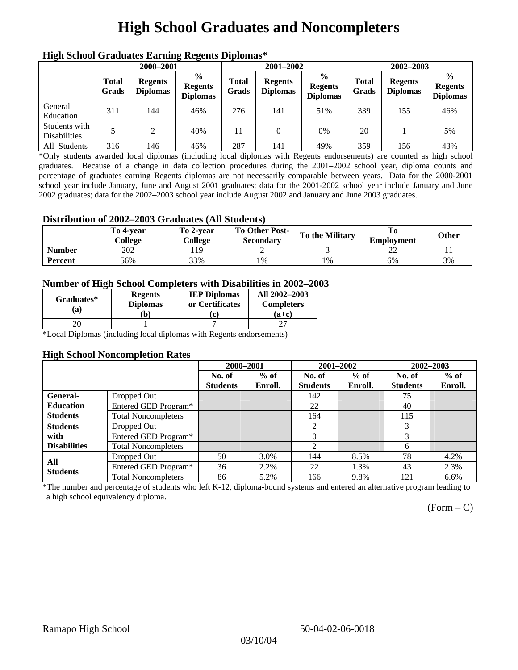# **High School Graduates and Noncompleters**

| ніді эспол этайнакі патінід кеденія вірюшая |                       |                                   |                                                    |                       |                                   |                                                    |                       |                                   |                                                    |
|---------------------------------------------|-----------------------|-----------------------------------|----------------------------------------------------|-----------------------|-----------------------------------|----------------------------------------------------|-----------------------|-----------------------------------|----------------------------------------------------|
|                                             | 2000-2001             |                                   |                                                    |                       | 2001-2002                         |                                                    | 2002-2003             |                                   |                                                    |
|                                             | <b>Total</b><br>Grads | <b>Regents</b><br><b>Diplomas</b> | $\frac{6}{9}$<br><b>Regents</b><br><b>Diplomas</b> | <b>Total</b><br>Grads | <b>Regents</b><br><b>Diplomas</b> | $\frac{6}{6}$<br><b>Regents</b><br><b>Diplomas</b> | <b>Total</b><br>Grads | <b>Regents</b><br><b>Diplomas</b> | $\frac{0}{0}$<br><b>Regents</b><br><b>Diplomas</b> |
| General<br>Education                        | 311                   | 144                               | 46%                                                | 276                   | 141                               | 51%                                                | 339                   | 155                               | 46%                                                |
| Students with<br><b>Disabilities</b>        | 5                     | 2                                 | 40%                                                | 11                    | $\theta$                          | 0%                                                 | 20                    |                                   | 5%                                                 |
| All Students                                | 316                   | 146                               | 46%                                                | 287                   | 141                               | 49%                                                | 359                   | 156                               | 43%                                                |

### **High School Graduates Earning Regents Diplomas\***

\*Only students awarded local diplomas (including local diplomas with Regents endorsements) are counted as high school graduates. Because of a change in data collection procedures during the 2001–2002 school year, diploma counts and percentage of graduates earning Regents diplomas are not necessarily comparable between years. Data for the 2000-2001 school year include January, June and August 2001 graduates; data for the 2001-2002 school year include January and June 2002 graduates; data for the 2002–2003 school year include August 2002 and January and June 2003 graduates.

### **Distribution of 2002–2003 Graduates (All Students)**

|               | To 4-vear<br>College | To 2-vear<br>College | <b>To Other Post-</b><br>Secondary | <b>To the Military</b> | <b>Employment</b> | Other |
|---------------|----------------------|----------------------|------------------------------------|------------------------|-------------------|-------|
| <b>Number</b> | 202                  | 119                  |                                    |                        |                   |       |
| Percent       | 56%                  | 33%                  | 1%                                 | 1%                     | 6%                | 3%    |

### **Number of High School Completers with Disabilities in 2002–2003**

| Graduates*<br>(a) | <b>Regents</b><br><b>Diplomas</b><br>b) | <b>IEP Diplomas</b><br>or Certificates<br>c) | All 2002-2003<br><b>Completers</b><br>$(a+c)$ |
|-------------------|-----------------------------------------|----------------------------------------------|-----------------------------------------------|
|                   |                                         |                                              |                                               |

\*Local Diplomas (including local diplomas with Regents endorsements)

#### **High School Noncompletion Rates**

|                     |                            | 2000-2001       |         | 2001-2002       |         | 2002-2003       |         |
|---------------------|----------------------------|-----------------|---------|-----------------|---------|-----------------|---------|
|                     |                            | No. of          | $%$ of  | No. of          | $%$ of  | No. of          | $%$ of  |
|                     |                            | <b>Students</b> | Enroll. | <b>Students</b> | Enroll. | <b>Students</b> | Enroll. |
| General-            | Dropped Out                |                 |         | 142             |         | 75              |         |
| <b>Education</b>    | Entered GED Program*       |                 |         | 22              |         | 40              |         |
| <b>Students</b>     | <b>Total Noncompleters</b> |                 |         | 164             |         | 115             |         |
| <b>Students</b>     | Dropped Out                |                 |         | 2               |         | 3               |         |
| with                | Entered GED Program*       |                 |         | $\Omega$        |         | 3               |         |
| <b>Disabilities</b> | <b>Total Noncompleters</b> |                 |         | 2               |         | 6               |         |
| All                 | Dropped Out                | 50              | 3.0%    | 144             | 8.5%    | 78              | 4.2%    |
| <b>Students</b>     | Entered GED Program*       | 36              | 2.2%    | 22              | 1.3%    | 43              | 2.3%    |
|                     | <b>Total Noncompleters</b> | 86              | 5.2%    | 166             | 9.8%    | 121             | 6.6%    |

\*The number and percentage of students who left K-12, diploma-bound systems and entered an alternative program leading to a high school equivalency diploma.

 $(Form - C)$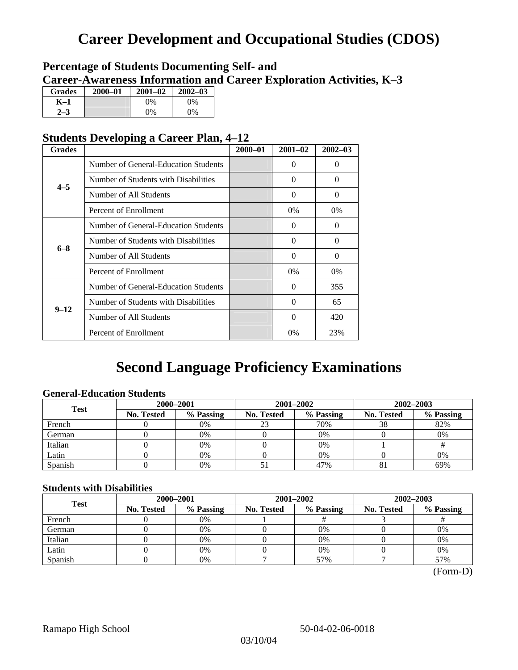## **Career Development and Occupational Studies (CDOS)**

### **Percentage of Students Documenting Self- and Career-Awareness Information and Career Exploration Activities, K–3**

| <b>Grades</b> | 2000-01 | $2001 - 02$ | $2002 - 03$ |
|---------------|---------|-------------|-------------|
| K-1           |         | $0\%$       | $0\%$       |
|               |         | $0\%$       | $0\%$       |

### **Students Developing a Career Plan, 4–12**

| <b>Grades</b> |                                      | $2000 - 01$ | $2001 - 02$ | $2002 - 03$ |
|---------------|--------------------------------------|-------------|-------------|-------------|
|               | Number of General-Education Students |             | $\theta$    | $\theta$    |
| $4 - 5$       | Number of Students with Disabilities |             | 0           | $\Omega$    |
|               | Number of All Students               |             | $\Omega$    | $\Omega$    |
|               | Percent of Enrollment                |             | $0\%$       | 0%          |
|               | Number of General-Education Students |             | 0           | 0           |
| $6 - 8$       | Number of Students with Disabilities |             | $\theta$    | $\Omega$    |
|               | Number of All Students               |             | $\theta$    | $\Omega$    |
|               | Percent of Enrollment                |             | $0\%$       | $0\%$       |
|               | Number of General-Education Students |             | 0           | 355         |
|               | Number of Students with Disabilities |             | $\Omega$    | 65          |
| $9 - 12$      | Number of All Students               |             | 0           | 420         |
|               | Percent of Enrollment                |             | $0\%$       | 23%         |

## **Second Language Proficiency Examinations**

### **General-Education Students**

| <b>Test</b> | 2000-2001         |           |            | 2001-2002 | 2002-2003               |           |  |
|-------------|-------------------|-----------|------------|-----------|-------------------------|-----------|--|
|             | <b>No. Tested</b> | % Passing | No. Tested | % Passing | <b>No. Tested</b><br>38 | % Passing |  |
| French      |                   | 0%        | 23         | 70%       |                         | 82%       |  |
| German      |                   | 0%        |            | $0\%$     |                         | 0%        |  |
| Italian     |                   | 0%        |            | 0%        |                         |           |  |
| Latin       |                   | 0%        |            | 0%        |                         | 0%        |  |
| Spanish     |                   | 0%        |            | 47%       | $^{\circ}$              | 69%       |  |

### **Students with Disabilities**

| <b>Test</b> | 2000-2001                      |    |                         | 2001-2002 | 2002-2003         |           |  |
|-------------|--------------------------------|----|-------------------------|-----------|-------------------|-----------|--|
|             | % Passing<br><b>No. Tested</b> |    | % Passing<br>No. Tested |           | <b>No. Tested</b> | % Passing |  |
| French      |                                | 0% |                         |           |                   |           |  |
| German      |                                | 0% |                         | 0%        |                   | 0%        |  |
| Italian     |                                | 0% |                         | 0%        |                   | 0%        |  |
| Latin       |                                | 0% |                         | 0%        |                   | 0%        |  |
| Spanish     |                                | 0% |                         | 57%       |                   | 57%       |  |

 <sup>(</sup>Form-D)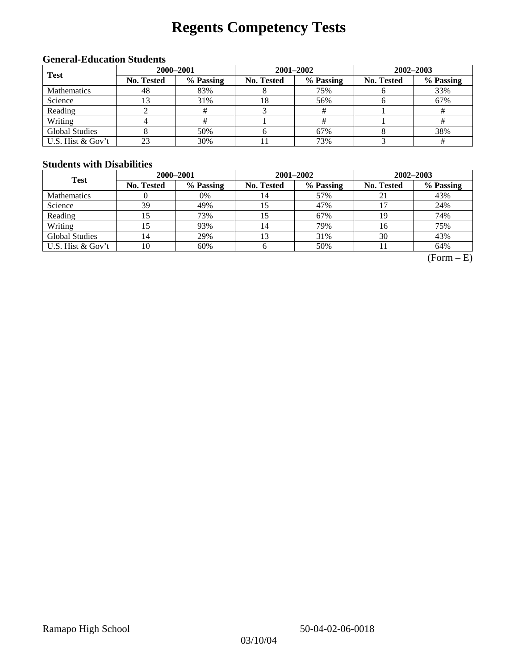# **Regents Competency Tests**

### **General-Education Students**

| <b>Test</b>           | 2000-2001         |           |            | $2001 - 2002$ | $2002 - 2003$     |           |  |
|-----------------------|-------------------|-----------|------------|---------------|-------------------|-----------|--|
|                       | <b>No. Tested</b> | % Passing | No. Tested | % Passing     | <b>No. Tested</b> | % Passing |  |
| Mathematics           | 48                | 83%       |            | 75%           |                   | 33%       |  |
| Science               |                   | 31%       | 18         | 56%           |                   | 67%       |  |
| Reading               |                   |           |            |               |                   |           |  |
| Writing               |                   | #         |            |               |                   |           |  |
| <b>Global Studies</b> |                   | 50%       |            | 67%           |                   | 38%       |  |
| U.S. Hist & Gov't     |                   | 30%       |            | 73%           |                   |           |  |

### **Students with Disabilities**

| <b>Test</b>           | 2000-2001         |           |            | 2001-2002 | 2002-2003                                 |           |  |
|-----------------------|-------------------|-----------|------------|-----------|-------------------------------------------|-----------|--|
|                       | <b>No. Tested</b> | % Passing | No. Tested | % Passing | <b>No. Tested</b><br>21<br>19<br>16<br>30 | % Passing |  |
| <b>Mathematics</b>    |                   | 0%        | 14         | 57%       |                                           | 43%       |  |
| Science               | 39                | 49%       | 15         | 47%       |                                           | 24%       |  |
| Reading               | 15                | 73%       | 15         | 67%       |                                           | 74%       |  |
| Writing               |                   | 93%       | 14         | 79%       |                                           | 75%       |  |
| <b>Global Studies</b> | 14                | 29%       | 13         | 31%       |                                           | 43%       |  |
| U.S. Hist & Gov't     | 10                | 60%       |            | 50%       |                                           | 64%       |  |

 $(Form - E)$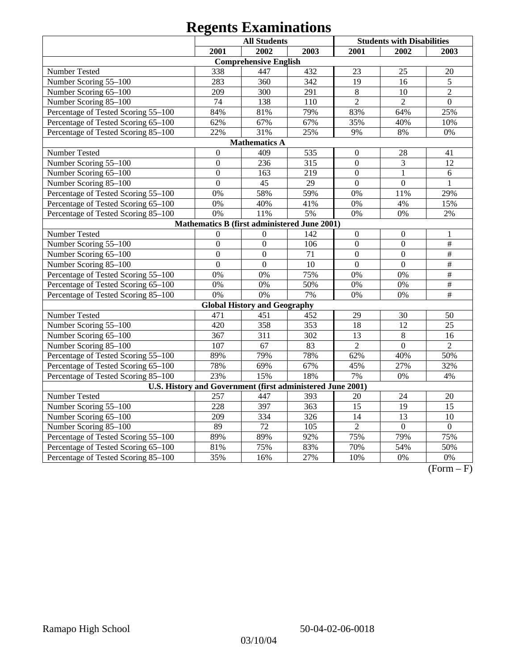| <b>All Students</b>                                        |                  |                                              |      |                  | <b>Students with Disabilities</b> |                 |
|------------------------------------------------------------|------------------|----------------------------------------------|------|------------------|-----------------------------------|-----------------|
|                                                            | 2001             | 2002                                         | 2003 | 2001             | 2002                              | 2003            |
|                                                            |                  | <b>Comprehensive English</b>                 |      |                  |                                   |                 |
| Number Tested                                              | 338              | 447                                          | 432  | 23               | 25                                | 20              |
| Number Scoring 55-100                                      | 283              | 360                                          | 342  | 19               | 16                                | 5               |
| Number Scoring 65-100                                      | 209              | 300                                          | 291  | $8\,$            | 10                                | $\overline{2}$  |
| Number Scoring 85-100                                      | $\overline{74}$  | 138                                          | 110  | $\overline{2}$   | $\overline{2}$                    | $\overline{0}$  |
| Percentage of Tested Scoring 55-100                        | 84%              | 81%                                          | 79%  | 83%              | 64%                               | 25%             |
| Percentage of Tested Scoring 65-100                        | 62%              | 67%                                          | 67%  | 35%              | 40%                               | 10%             |
| Percentage of Tested Scoring 85-100                        | 22%              | 31%                                          | 25%  | 9%               | $8\%$                             | $0\%$           |
|                                                            |                  | <b>Mathematics A</b>                         |      |                  |                                   |                 |
| Number Tested                                              | $\boldsymbol{0}$ | 409                                          | 535  | $\boldsymbol{0}$ | 28                                | 41              |
| Number Scoring 55-100                                      | $\boldsymbol{0}$ | 236                                          | 315  | $\boldsymbol{0}$ | 3                                 | 12              |
| Number Scoring 65-100                                      | $\overline{0}$   | 163                                          | 219  | $\overline{0}$   | 1                                 | 6               |
| Number Scoring 85-100                                      | $\overline{0}$   | 45                                           | 29   | $\overline{0}$   | $\overline{0}$                    | 1               |
| Percentage of Tested Scoring 55-100                        | 0%               | 58%                                          | 59%  | 0%               | 11%                               | 29%             |
| Percentage of Tested Scoring 65-100                        | 0%               | 40%                                          | 41%  | 0%               | 4%                                | 15%             |
| Percentage of Tested Scoring 85-100                        | 0%               | 11%                                          | 5%   | 0%               | 0%                                | $2\%$           |
|                                                            |                  | Mathematics B (first administered June 2001) |      |                  |                                   |                 |
| Number Tested                                              | $\boldsymbol{0}$ | $\overline{0}$                               | 142  | $\mathbf{0}$     | $\boldsymbol{0}$                  | $\mathbf{1}$    |
| Number Scoring 55-100                                      | $\overline{0}$   | $\overline{0}$                               | 106  | $\overline{0}$   | $\overline{0}$                    | $\overline{\#}$ |
| Number Scoring 65-100                                      | $\overline{0}$   | $\mathbf{0}$                                 | 71   | $\overline{0}$   | $\overline{0}$                    | $\frac{1}{2}$   |
| Number Scoring 85-100                                      | $\overline{0}$   | $\mathbf{0}$                                 | 10   | $\overline{0}$   | $\mathbf{0}$                      | $\#$            |
| Percentage of Tested Scoring 55-100                        | 0%               | 0%                                           | 75%  | 0%               | 0%                                | $\frac{1}{2}$   |
| Percentage of Tested Scoring 65-100                        | 0%               | $0\%$                                        | 50%  | 0%               | 0%                                | $\overline{\#}$ |
| Percentage of Tested Scoring 85-100                        | 0%               | 0%                                           | 7%   | 0%               | 0%                                | $\#$            |
|                                                            |                  | <b>Global History and Geography</b>          |      |                  |                                   |                 |
| Number Tested                                              | 471              | 451                                          | 452  | 29               | 30                                | 50              |
| Number Scoring 55-100                                      | 420              | 358                                          | 353  | $\overline{18}$  | $\overline{12}$                   | 25              |
| Number Scoring 65-100                                      | 367              | 311                                          | 302  | 13               | $\,8\,$                           | 16              |
| Number Scoring 85-100                                      | 107              | 67                                           | 83   | $\overline{2}$   | $\overline{0}$                    | $\overline{2}$  |
| Percentage of Tested Scoring 55-100                        | 89%              | 79%                                          | 78%  | 62%              | 40%                               | 50%             |
| Percentage of Tested Scoring 65-100                        | 78%              | 69%                                          | 67%  | 45%              | 27%                               | 32%             |
| Percentage of Tested Scoring 85-100                        | 23%              | 15%                                          | 18%  | 7%               | 0%                                | 4%              |
| U.S. History and Government (first administered June 2001) |                  |                                              |      |                  |                                   |                 |
| Number Tested                                              | 257              | 447                                          | 393  | 20               | 24                                | 20              |
| Number Scoring 55-100                                      | 228              | 397                                          | 363  | 15               | 19                                | $\overline{15}$ |
| Number Scoring 65-100                                      | 209              | 334                                          | 326  | 14               | 13                                | 10              |
| Number Scoring 85-100                                      | 89               | $\overline{72}$                              | 105  | $\overline{2}$   | $\overline{0}$                    | $\overline{0}$  |
| Percentage of Tested Scoring 55-100                        | 89%              | 89%                                          | 92%  | 75%              | 79%                               | 75%             |
| Percentage of Tested Scoring 65-100                        | 81%              | 75%                                          | 83%  | 70%              | 54%                               | 50%             |
| Percentage of Tested Scoring 85-100                        | 35%              | 16%                                          | 27%  | 10%              | 0%                                | 0%              |

 $\overline{(Form - F)}$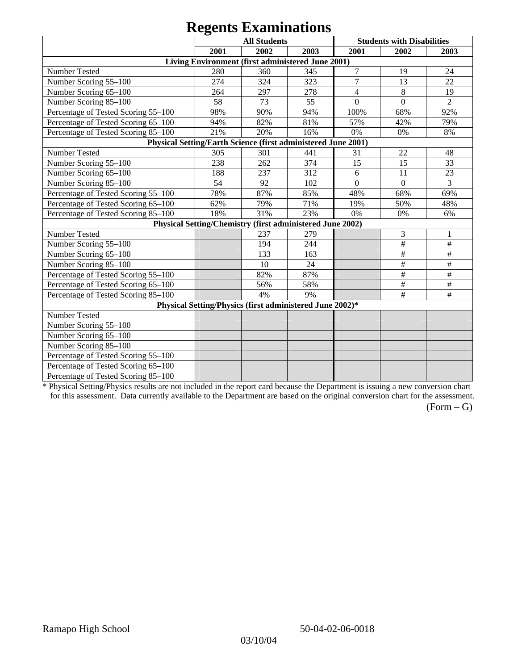|                                                               |      | <b>All Students</b>                                       |      |                  | <b>Students with Disabilities</b> |                |
|---------------------------------------------------------------|------|-----------------------------------------------------------|------|------------------|-----------------------------------|----------------|
|                                                               | 2001 | 2002                                                      | 2003 | 2001             | 2002                              | 2003           |
|                                                               |      | Living Environment (first administered June 2001)         |      |                  |                                   |                |
| Number Tested                                                 | 280  | 360                                                       | 345  | 7                | 19                                | 24             |
| Number Scoring 55-100                                         | 274  | 324                                                       | 323  | $\overline{7}$   | 13                                | 22             |
| Number Scoring 65-100                                         | 264  | 297                                                       | 278  | $\overline{4}$   | 8                                 | 19             |
| Number Scoring 85-100                                         | 58   | 73                                                        | 55   | $\boldsymbol{0}$ | $\overline{0}$                    | $\overline{2}$ |
| Percentage of Tested Scoring 55-100                           | 98%  | 90%                                                       | 94%  | 100%             | 68%                               | 92%            |
| Percentage of Tested Scoring 65-100                           | 94%  | 82%                                                       | 81%  | 57%              | 42%                               | 79%            |
|                                                               | 21%  | 20%                                                       | 16%  | 0%               | 0%                                | $8\%$          |
| Percentage of Tested Scoring 85-100                           |      |                                                           |      |                  |                                   |                |
| Physical Setting/Earth Science (first administered June 2001) |      |                                                           |      |                  |                                   |                |
| Number Tested                                                 | 305  | 301                                                       | 441  | 31               | 22                                | 48             |
| Number Scoring 55-100                                         | 238  | 262                                                       | 374  | 15               | 15                                | 33             |
| Number Scoring 65-100                                         | 188  | 237                                                       | 312  | 6                | 11                                | 23             |
| Number Scoring 85-100                                         | 54   | 92                                                        | 102  | $\boldsymbol{0}$ | $\mathbf{0}$                      | 3              |
| Percentage of Tested Scoring 55-100                           | 78%  | 87%                                                       | 85%  | 48%              | 68%                               | 69%            |
| Percentage of Tested Scoring 65-100                           | 62%  | 79%                                                       | 71%  | 19%              | 50%                               | 48%            |
| Percentage of Tested Scoring 85-100                           | 18%  | 31%                                                       | 23%  | 0%               | $0\%$                             | 6%             |
|                                                               |      | Physical Setting/Chemistry (first administered June 2002) |      |                  |                                   |                |
| Number Tested                                                 |      | 237                                                       | 279  |                  | 3                                 |                |
| Number Scoring 55-100                                         |      | 194                                                       | 244  |                  | $\#$                              | $\#$           |
| Number Scoring 65-100                                         |      | 133                                                       | 163  |                  | $\#$                              | $\#$           |
| Number Scoring 85-100                                         |      | 10                                                        | 24   |                  | $\#$                              | $\#$           |
| Percentage of Tested Scoring 55-100                           |      | 82%                                                       | 87%  |                  | $\#$                              | $\frac{1}{2}$  |
| Percentage of Tested Scoring 65-100                           |      | 56%                                                       | 58%  |                  | $\#$                              | $\#$           |
| Percentage of Tested Scoring 85-100                           |      | 4%                                                        | 9%   |                  | $\#$                              | $\#$           |
|                                                               |      | Physical Setting/Physics (first administered June 2002)*  |      |                  |                                   |                |
| Number Tested                                                 |      |                                                           |      |                  |                                   |                |
| Number Scoring 55-100                                         |      |                                                           |      |                  |                                   |                |
| Number Scoring 65-100                                         |      |                                                           |      |                  |                                   |                |
| Number Scoring 85-100                                         |      |                                                           |      |                  |                                   |                |
| Percentage of Tested Scoring 55-100                           |      |                                                           |      |                  |                                   |                |
| Percentage of Tested Scoring 65-100                           |      |                                                           |      |                  |                                   |                |
| Percentage of Tested Scoring 85-100                           |      |                                                           |      |                  |                                   |                |

\* Physical Setting/Physics results are not included in the report card because the Department is issuing a new conversion chart for this assessment. Data currently available to the Department are based on the original conversion chart for the assessment.

 $(Form - G)$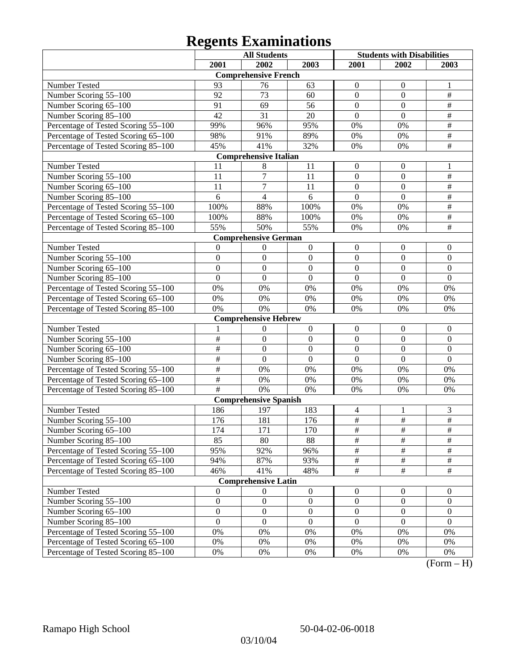|                                     |                         | <b>All Students</b>          |                  | <b>Students with Disabilities</b> |                  |                    |
|-------------------------------------|-------------------------|------------------------------|------------------|-----------------------------------|------------------|--------------------|
|                                     | 2001                    | 2002                         | 2003             | 2001                              | 2002             | 2003               |
|                                     |                         | <b>Comprehensive French</b>  |                  |                                   |                  |                    |
| Number Tested                       | 93                      | 76                           | 63               | $\theta$                          | $\mathbf{0}$     |                    |
| Number Scoring 55-100               | 92                      | 73                           | 60               | $\mathbf{0}$                      | $\mathbf{0}$     | $\#$               |
| Number Scoring 65-100               | 91                      | 69                           | 56               | $\mathbf{0}$                      | $\boldsymbol{0}$ | $\#$               |
| Number Scoring 85-100               | 42                      | 31                           | 20               | $\mathbf{0}$                      | $\boldsymbol{0}$ | $\#$               |
| Percentage of Tested Scoring 55-100 | 99%                     | 96%                          | 95%              | $0\%$                             | 0%               | $\#$               |
| Percentage of Tested Scoring 65-100 | 98%                     | 91%                          | 89%              | $0\%$                             | 0%               | $\#$               |
| Percentage of Tested Scoring 85-100 | 45%                     | 41%                          | 32%              | 0%                                | 0%               | $\overline{\#}$    |
|                                     |                         | <b>Comprehensive Italian</b> |                  |                                   |                  |                    |
| Number Tested                       | 11                      | 8                            | 11               | $\boldsymbol{0}$                  | $\boldsymbol{0}$ | 1                  |
| Number Scoring 55-100               | 11                      | $\overline{7}$               | 11               | $\mathbf{0}$                      | $\mathbf{0}$     | $\#$               |
| Number Scoring 65-100               | 11                      | $\overline{7}$               | 11               | $\mathbf{0}$                      | $\boldsymbol{0}$ | $\#$               |
| Number Scoring 85-100               | 6                       | $\overline{4}$               | 6                | $\mathbf{0}$                      | $\boldsymbol{0}$ | $\#$               |
| Percentage of Tested Scoring 55-100 | 100%                    | 88%                          | 100%             | $0\%$                             | 0%               | $\#$               |
| Percentage of Tested Scoring 65-100 | 100%                    | 88%                          | 100%             | $0\%$                             | 0%               | $\#$               |
| Percentage of Tested Scoring 85-100 | 55%                     | 50%                          | 55%              | 0%                                | 0%               | $\#$               |
|                                     |                         | <b>Comprehensive German</b>  |                  |                                   |                  |                    |
| Number Tested                       | $\theta$                | $\overline{0}$               | $\boldsymbol{0}$ | $\boldsymbol{0}$                  | $\boldsymbol{0}$ | $\boldsymbol{0}$   |
| Number Scoring 55-100               | $\overline{0}$          | $\boldsymbol{0}$             | $\boldsymbol{0}$ | $\mathbf{0}$                      | $\overline{0}$   | $\mathbf{0}$       |
| Number Scoring 65-100               | $\overline{0}$          | $\overline{0}$               | $\overline{0}$   | $\mathbf{0}$                      | $\mathbf{0}$     | $\mathbf{0}$       |
| Number Scoring 85-100               | $\mathbf{0}$            | $\mathbf{0}$                 | $\overline{0}$   | $\mathbf{0}$                      | $\boldsymbol{0}$ | $\boldsymbol{0}$   |
| Percentage of Tested Scoring 55-100 | 0%                      | 0%                           | 0%               | 0%                                | $0\%$            | 0%                 |
| Percentage of Tested Scoring 65-100 | 0%                      | 0%                           | $0\%$            | 0%                                | $0\%$            | 0%                 |
| Percentage of Tested Scoring 85-100 | 0%                      | 0%                           | $0\%$            | 0%                                | 0%               | 0%                 |
|                                     |                         | <b>Comprehensive Hebrew</b>  |                  |                                   |                  |                    |
| Number Tested                       |                         | $\theta$                     | $\boldsymbol{0}$ | $\boldsymbol{0}$                  | $\boldsymbol{0}$ | $\boldsymbol{0}$   |
| Number Scoring 55-100               | $\#$                    | $\boldsymbol{0}$             | $\boldsymbol{0}$ | $\overline{0}$                    | $\overline{0}$   | $\mathbf{0}$       |
| Number Scoring 65-100               | $\overline{\ddot{\pi}}$ | $\overline{0}$               | $\overline{0}$   | $\mathbf{0}$                      | $\mathbf{0}$     | $\mathbf{0}$       |
| Number Scoring 85-100               | $\overline{\ddot{\pi}}$ | $\mathbf{0}$                 | $\overline{0}$   | $\mathbf{0}$                      | $\boldsymbol{0}$ | $\boldsymbol{0}$   |
| Percentage of Tested Scoring 55-100 | $\#$                    | 0%                           | 0%               | 0%                                | 0%               | 0%                 |
| Percentage of Tested Scoring 65-100 | $\#$                    | 0%                           | $0\%$            | 0%                                | $0\%$            | 0%                 |
| Percentage of Tested Scoring 85-100 | #                       | 0%                           | 0%               | 0%                                | $0\%$            | 0%                 |
|                                     |                         | <b>Comprehensive Spanish</b> |                  |                                   |                  |                    |
| Number Tested                       | 186                     | 197                          | 183              | 4                                 | 1                | 3                  |
| Number Scoring 55-100               | 176                     | 181                          | 176              | $\overline{\#}$                   | $\#$             | $\#$               |
| Number Scoring 65-100               | 174                     | 171                          | 170              | $\overline{\#}$                   | $\overline{\#}$  | $\overline{\#}$    |
| Number Scoring 85-100               | 85                      | 80                           | 88               | $\#$                              | $\#$             | $\#$               |
| Percentage of Tested Scoring 55-100 | 95%                     | 92%                          | 96%              | $\#$                              | $\#$             | $\#$               |
| Percentage of Tested Scoring 65-100 | 94%                     | 87%                          | 93%              | $\#$                              | $\#$             | $\#$               |
| Percentage of Tested Scoring 85-100 | 46%                     | 41%                          | 48%              | $\#$                              | $\#$             | $\#$               |
|                                     |                         | <b>Comprehensive Latin</b>   |                  |                                   |                  |                    |
| Number Tested                       | $\mathbf{0}$            | $\overline{0}$               | $\boldsymbol{0}$ | $\boldsymbol{0}$                  | $\boldsymbol{0}$ | $\boldsymbol{0}$   |
| Number Scoring 55-100               | $\boldsymbol{0}$        | $\boldsymbol{0}$             | $\boldsymbol{0}$ | $\boldsymbol{0}$                  | $\boldsymbol{0}$ | $\boldsymbol{0}$   |
| Number Scoring 65-100               | $\boldsymbol{0}$        | $\boldsymbol{0}$             | $\boldsymbol{0}$ | $\boldsymbol{0}$                  | $\boldsymbol{0}$ | $\boldsymbol{0}$   |
| Number Scoring 85-100               | $\mathbf{0}$            | $\boldsymbol{0}$             | $\boldsymbol{0}$ | $\boldsymbol{0}$                  | $\boldsymbol{0}$ | $\boldsymbol{0}$   |
| Percentage of Tested Scoring 55-100 | $0\%$                   | 0%                           | 0%               | 0%                                | 0%               | 0%                 |
| Percentage of Tested Scoring 65-100 | $0\%$                   | 0%                           | 0%               | 0%                                | 0%               | 0%                 |
| Percentage of Tested Scoring 85-100 | $0\%$                   | $0\%$                        | $0\%$            | 0%                                | 0%               | 0%<br>$\mathbf{T}$ |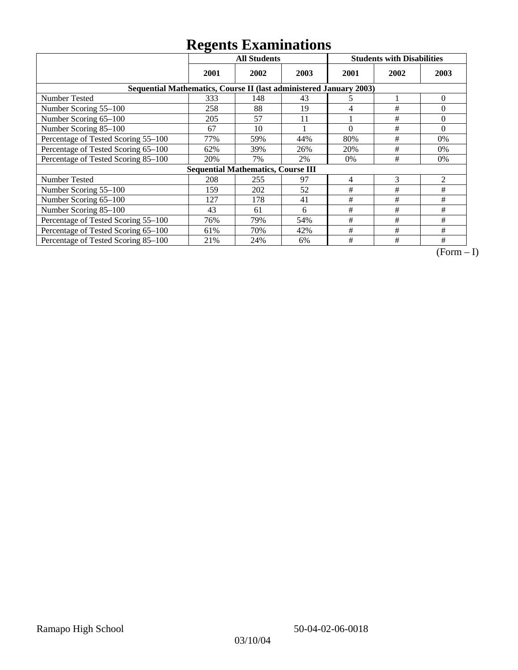|                                                                    | ັ<br><b>All Students</b> |                                           |      |          | <b>Students with Disabilities</b> |          |
|--------------------------------------------------------------------|--------------------------|-------------------------------------------|------|----------|-----------------------------------|----------|
|                                                                    | 2001                     | 2002                                      | 2003 | 2001     | 2002                              | 2003     |
| Sequential Mathematics, Course II (last administered January 2003) |                          |                                           |      |          |                                   |          |
| <b>Number Tested</b>                                               | 333                      | 148                                       | 43   | 5        |                                   | $\theta$ |
| Number Scoring 55-100                                              | 258                      | 88                                        | 19   | 4        | #                                 | $\Omega$ |
| Number Scoring 65-100                                              | 205                      | 57                                        | 11   |          | #                                 | $\Omega$ |
| Number Scoring 85-100                                              | 67                       | 10                                        |      | $\theta$ | #                                 | $\Omega$ |
| Percentage of Tested Scoring 55-100                                | 77%                      | 59%                                       | 44%  | 80%      | #                                 | 0%       |
| Percentage of Tested Scoring 65-100                                | 62%                      | 39%                                       | 26%  | 20%      | #                                 | $0\%$    |
| Percentage of Tested Scoring 85-100                                | 20%                      | 7%                                        | 2%   | 0%       | #                                 | 0%       |
|                                                                    |                          | <b>Sequential Mathematics, Course III</b> |      |          |                                   |          |
| <b>Number Tested</b>                                               | 208                      | 255                                       | 97   | 4        | 3                                 | 2        |
| Number Scoring 55–100                                              | 159                      | 202                                       | 52   | #        | #                                 | #        |
| Number Scoring 65-100                                              | 127                      | 178                                       | 41   | #        | #                                 | #        |
| Number Scoring 85-100                                              | 43                       | 61                                        | 6    | #        | #                                 | #        |
| Percentage of Tested Scoring 55-100                                | 76%                      | 79%                                       | 54%  | #        | #                                 | #        |
| Percentage of Tested Scoring 65-100                                | 61%                      | 70%                                       | 42%  | #        | #                                 | #        |
| Percentage of Tested Scoring 85-100                                | 21%                      | 24%                                       | 6%   | #        | #                                 | #        |

 $\overline{(Form-I)}$ 

03/10/04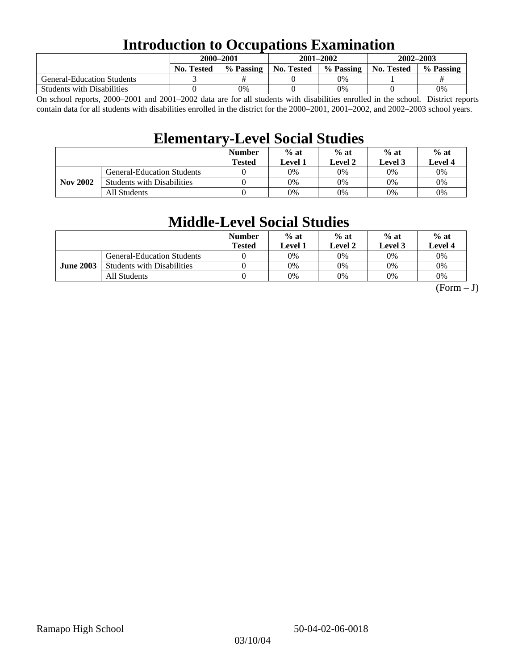### **Introduction to Occupations Examination**

|                                   | 2000–2001         |           |            | 2001-2002 | 2002-2003  |           |  |
|-----------------------------------|-------------------|-----------|------------|-----------|------------|-----------|--|
|                                   | <b>No. Tested</b> | % Passing | No. Tested | % Passing | No. Tested | % Passing |  |
| <b>General-Education Students</b> |                   |           |            | 0%        |            |           |  |
| <b>Students with Disabilities</b> |                   | 0%        |            | 0%        |            | 0%        |  |

On school reports, 2000–2001 and 2001–2002 data are for all students with disabilities enrolled in the school. District reports contain data for all students with disabilities enrolled in the district for the 2000–2001, 2001–2002, and 2002–2003 school years.

### **Elementary-Level Social Studies**

|                 |                                   | <b>Number</b><br><b>Tested</b> | $%$ at<br>Level 1 | $%$ at<br>Level 2 | $%$ at<br>Level 3 | $%$ at<br>Level 4 |
|-----------------|-----------------------------------|--------------------------------|-------------------|-------------------|-------------------|-------------------|
| <b>Nov 2002</b> | <b>General-Education Students</b> |                                | 0%                | 0%                | 0%                | 0%                |
|                 | <b>Students with Disabilities</b> |                                | 0%                | 0%                | 0%                | $0\%$             |
|                 | All Students                      |                                | 0%                | 0%                | 0%                | $0\%$             |

### **Middle-Level Social Studies**

|                  |                                   | <b>Number</b><br>Tested | $%$ at<br>evel 1. | $%$ at<br>Level 2 | $%$ at<br>Level 3 | $%$ at<br>Level 4 |
|------------------|-----------------------------------|-------------------------|-------------------|-------------------|-------------------|-------------------|
| <b>June 2003</b> | <b>General-Education Students</b> |                         | 0%                | 0%                | $0\%$             | 0%                |
|                  | <b>Students with Disabilities</b> |                         | 0%                | 0%                | 0%                | 0%                |
|                  | All Students                      |                         | 0%                | 0%                | 0%                | 0%                |

 $(Form - J)$